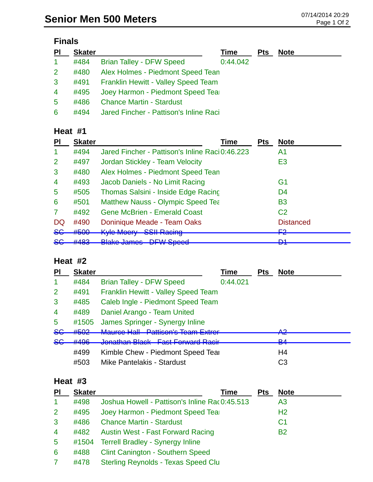## **Finals**

| PI             | <b>Skater</b> |                                            | Time     | <b>Pts</b> | <b>Note</b> |
|----------------|---------------|--------------------------------------------|----------|------------|-------------|
| $\mathbf{1}$   | #484          | <b>Brian Talley - DFW Speed</b>            | 0:44.042 |            |             |
| 2 <sup>1</sup> | #480          | Alex Holmes - Piedmont Speed Tean          |          |            |             |
| 3              | #491          | <b>Franklin Hewitt - Valley Speed Team</b> |          |            |             |
| $\overline{4}$ | #495          | Joey Harmon - Piedmont Speed Tear          |          |            |             |
| 5              | #486          | <b>Chance Martin - Stardust</b>            |          |            |             |
| 6              | #494          | Jared Fincher - Pattison's Inline Raci     |          |            |             |

### **Heat #1**

| ΡI             | <b>Skater</b>             | Time                                                                             | <b>Pts</b> | <b>Note</b>         |
|----------------|---------------------------|----------------------------------------------------------------------------------|------------|---------------------|
|                | #494                      | Jared Fincher - Pattison's Inline Raci 0:46.223                                  |            | A1                  |
| $\overline{2}$ | #497                      | Jordan Stickley - Team Velocity                                                  |            | E <sub>3</sub>      |
| 3              | #480                      | Alex Holmes - Piedmont Speed Tean                                                |            |                     |
| $\overline{4}$ | #493                      | Jacob Daniels - No Limit Racing                                                  |            | G1                  |
| 5              | #505                      | Thomas Salsini - Inside Edge Racing                                              |            | D <sub>4</sub>      |
| 6              | #501                      | <b>Matthew Nauss - Olympic Speed Tea</b>                                         |            | <b>B3</b>           |
|                | #492                      | <b>Gene McBrien - Emerald Coast</b>                                              |            | C <sub>2</sub>      |
| DQ             | #490                      | Doninique Meade - Team Oaks                                                      |            | <b>Distanced</b>    |
| <del>SG</del>  | #500                      | <b>Kyle Moery SSII Racing</b><br><u>UUILTVaUITy</u>                              |            | <u>רים</u><br>ГА    |
| <del>SG</del>  | 4102<br><del>11 TOJ</del> | <b>Plake James DEW Spead</b><br><u>n aheed</u><br><del>טטוווט טאוווט</del><br>ът |            | D <sub>1</sub><br>◘ |

## **Heat #2**

| <b>PI</b>      | <b>Skater</b> |                                     | Time     | <b>Pts</b> | <b>Note</b>         |
|----------------|---------------|-------------------------------------|----------|------------|---------------------|
| -1             | #484          | <b>Brian Talley - DFW Speed</b>     | 0:44.021 |            |                     |
| 2              | #491          | Franklin Hewitt - Valley Speed Team |          |            |                     |
| 3              | #485          | Caleb Ingle - Piedmont Speed Team   |          |            |                     |
| $\overline{4}$ | #489          | Daniel Arango - Team United         |          |            |                     |
| 5              | #1505         | James Springer - Synergy Inline     |          |            |                     |
| $86$           | #502          | Mauree Hall Dattisen's Team Extrest |          |            | ∧ດ<br>T             |
| 8 <sub>G</sub> | #496          | Jonathan Black East Ferward Pacir   |          |            | D <sub>A</sub><br>▱ |
|                | #499          | Kimble Chew - Piedmont Speed Tear   |          |            | H4                  |
|                | #503          | <b>Mike Pantelakis - Stardust</b>   |          |            | C3                  |

#### **Heat #3**

| P <sub>l</sub> | <b>Skater</b> | Time                                          | <b>Pts</b> | <b>Note</b>    |
|----------------|---------------|-----------------------------------------------|------------|----------------|
| 1              | #498          | Joshua Howell - Pattison's Inline Rac0:45.513 |            | A <sub>3</sub> |
| $\overline{2}$ | #495          | Joey Harmon - Piedmont Speed Tear             |            | H <sub>2</sub> |
| 3              | #486          | <b>Chance Martin - Stardust</b>               |            | C <sub>1</sub> |
| $\overline{4}$ | #482          | <b>Austin West - Fast Forward Racing</b>      |            | <b>B2</b>      |
| $\overline{5}$ | #1504         | <b>Terrell Bradley - Synergy Inline</b>       |            |                |
| 6              | #488          | <b>Clint Canington - Southern Speed</b>       |            |                |
|                | #478          | <b>Sterling Reynolds - Texas Speed Clu</b>    |            |                |